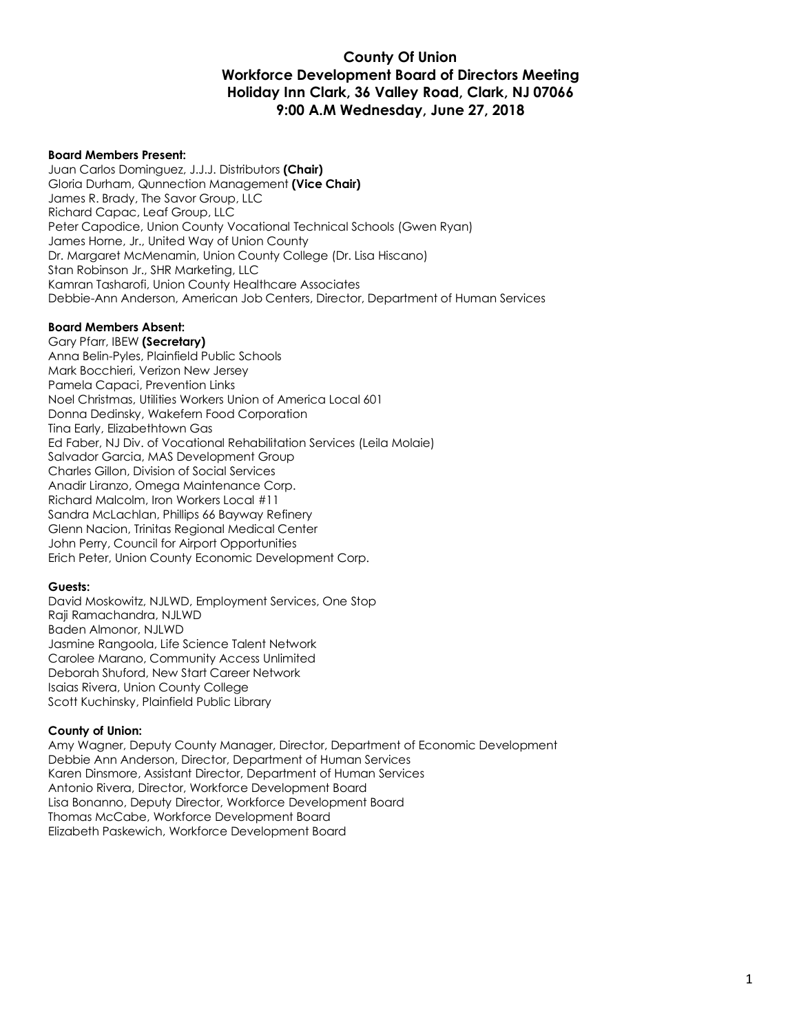#### **County Of Union Workforce Development Board of Directors Meeting Holiday Inn Clark, 36 Valley Road, Clark, NJ 07066 9:00 A.M Wednesday, June 27, 2018**

#### **Board Members Present:**

Juan Carlos Dominguez, J.J.J. Distributors **(Chair)** Gloria Durham, Qunnection Management **(Vice Chair)** James R. Brady, The Savor Group, LLC Richard Capac, Leaf Group, LLC Peter Capodice, Union County Vocational Technical Schools (Gwen Ryan) James Horne, Jr., United Way of Union County Dr. Margaret McMenamin, Union County College (Dr. Lisa Hiscano) Stan Robinson Jr., SHR Marketing, LLC Kamran Tasharofi, Union County Healthcare Associates Debbie-Ann Anderson, American Job Centers, Director, Department of Human Services

#### **Board Members Absent:**

Gary Pfarr, IBEW **(Secretary)** Anna Belin-Pyles, Plainfield Public Schools Mark Bocchieri, Verizon New Jersey Pamela Capaci, Prevention Links Noel Christmas, Utilities Workers Union of America Local 601 Donna Dedinsky, Wakefern Food Corporation Tina Early, Elizabethtown Gas Ed Faber, NJ Div. of Vocational Rehabilitation Services (Leila Molaie) Salvador Garcia, MAS Development Group Charles Gillon, Division of Social Services Anadir Liranzo, Omega Maintenance Corp. Richard Malcolm, Iron Workers Local #11 Sandra McLachlan, Phillips 66 Bayway Refinery Glenn Nacion, Trinitas Regional Medical Center John Perry, Council for Airport Opportunities Erich Peter, Union County Economic Development Corp.

#### **Guests:**

David Moskowitz, NJLWD, Employment Services, One Stop Raji Ramachandra, NJLWD Baden Almonor, NJLWD Jasmine Rangoola, Life Science Talent Network Carolee Marano, Community Access Unlimited Deborah Shuford, New Start Career Network Isaias Rivera, Union County College Scott Kuchinsky, Plainfield Public Library

#### **County of Union:**

Amy Wagner, Deputy County Manager, Director, Department of Economic Development Debbie Ann Anderson, Director, Department of Human Services Karen Dinsmore, Assistant Director, Department of Human Services Antonio Rivera, Director, Workforce Development Board Lisa Bonanno, Deputy Director, Workforce Development Board Thomas McCabe, Workforce Development Board Elizabeth Paskewich, Workforce Development Board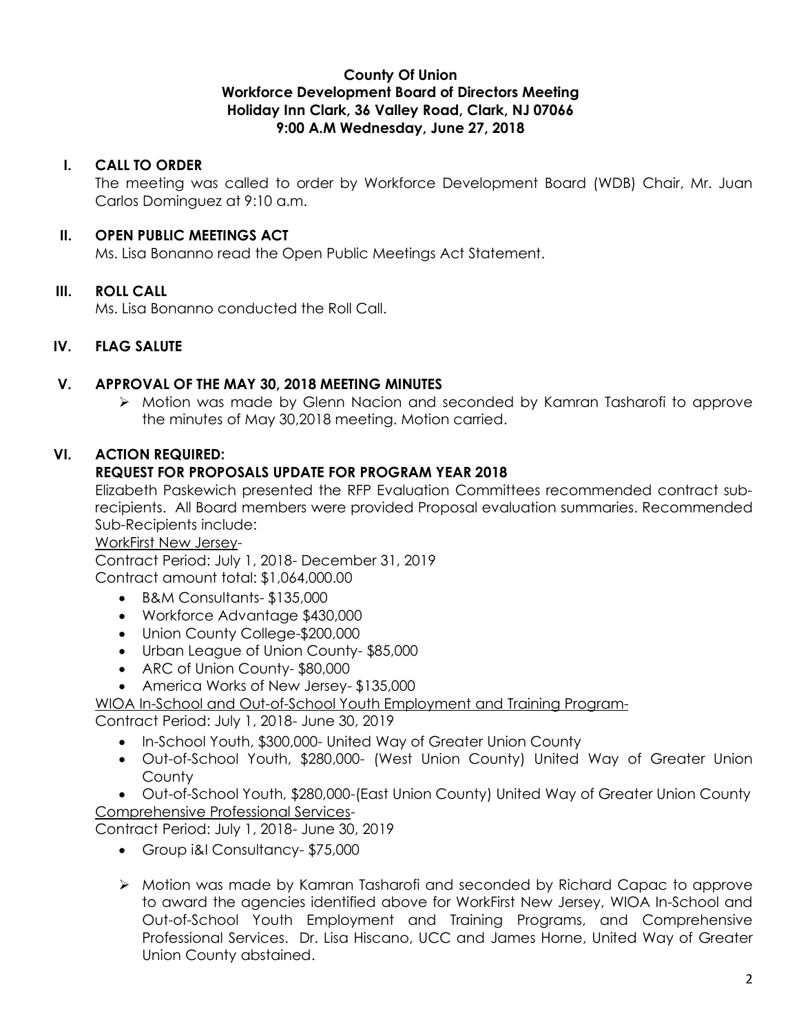### **County Of Union Workforce Development Board of Directors Meeting Holiday Inn Clark, 36 Valley Road, Clark, NJ 07066 9:00 A.M Wednesday, June 27, 2018**

## **I. CALL TO ORDER**

The meeting was called to order by Workforce Development Board (WDB) Chair, Mr. Juan Carlos Dominguez at 9:10 a.m.

# **II. OPEN PUBLIC MEETINGS ACT**

Ms. Lisa Bonanno read the Open Public Meetings Act Statement.

# **III. ROLL CALL**

Ms. Lisa Bonanno conducted the Roll Call.

# **IV. FLAG SALUTE**

# **V. APPROVAL OF THE MAY 30, 2018 MEETING MINUTES**

Ø Motion was made by Glenn Nacion and seconded by Kamran Tasharofi to approve the minutes of May 30,2018 meeting. Motion carried.

# **VI. ACTION REQUIRED:**

# **REQUEST FOR PROPOSALS UPDATE FOR PROGRAM YEAR 2018**

Elizabeth Paskewich presented the RFP Evaluation Committees recommended contract subrecipients. All Board members were provided Proposal evaluation summaries. Recommended Sub-Recipients include:

## WorkFirst New Jersey-

Contract Period: July 1, 2018- December 31, 2019 Contract amount total: \$1,064,000.00

- B&M Consultants- \$135,000
- Workforce Advantage \$430,000
- Union County College-\$200,000
- Urban League of Union County- \$85,000
- ARC of Union County- \$80,000
- America Works of New Jersey- \$135,000

## WIOA In-School and Out-of-School Youth Employment and Training Program-

Contract Period: July 1, 2018- June 30, 2019

- In-School Youth, \$300,000- United Way of Greater Union County
- Out-of-School Youth, \$280,000- (West Union County) United Way of Greater Union **County**
- Out-of-School Youth, \$280,000-(East Union County) United Way of Greater Union County Comprehensive Professional Services-

Contract Period: July 1, 2018- June 30, 2019

- Group i&I Consultancy- \$75,000
- Ø Motion was made by Kamran Tasharofi and seconded by Richard Capac to approve to award the agencies identified above for WorkFirst New Jersey, WIOA In-School and Out-of-School Youth Employment and Training Programs, and Comprehensive Professional Services. Dr. Lisa Hiscano, UCC and James Horne, United Way of Greater Union County abstained.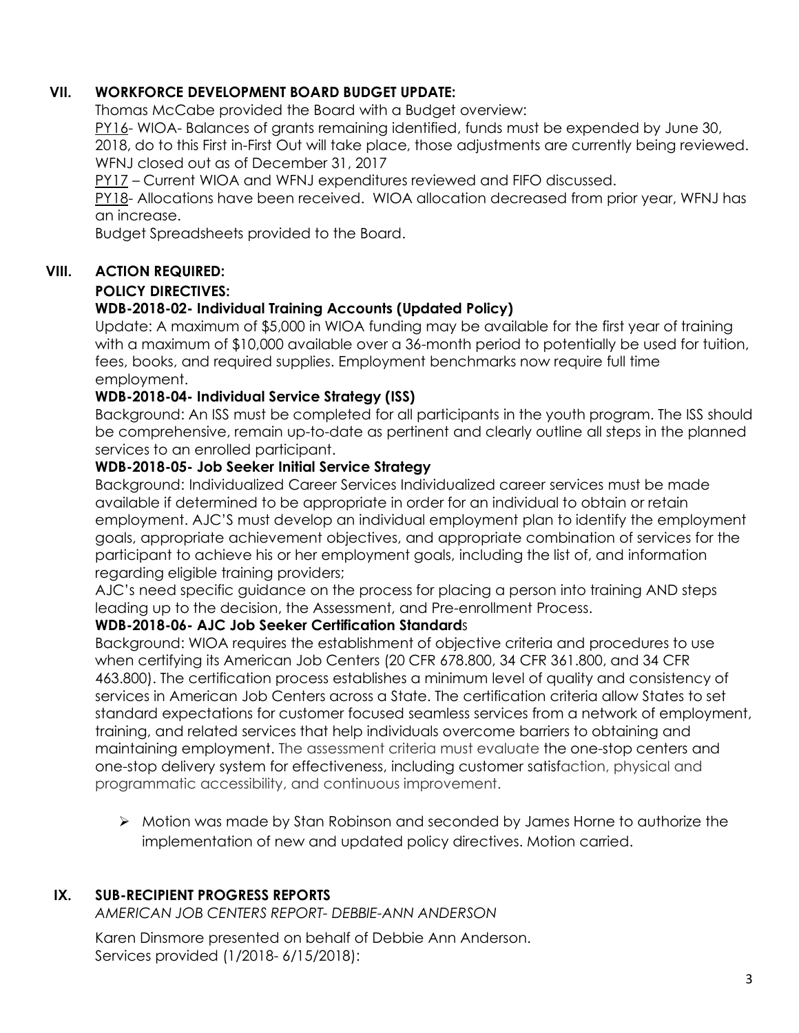# **VII. WORKFORCE DEVELOPMENT BOARD BUDGET UPDATE:**

Thomas McCabe provided the Board with a Budget overview:

PY16- WIOA- Balances of grants remaining identified, funds must be expended by June 30,

2018, do to this First in-First Out will take place, those adjustments are currently being reviewed. WFNJ closed out as of December 31, 2017

PY17 – Current WIOA and WFNJ expenditures reviewed and FIFO discussed.

PY18- Allocations have been received. WIOA allocation decreased from prior year, WFNJ has an increase.

Budget Spreadsheets provided to the Board.

## **VIII. ACTION REQUIRED:**

#### **POLICY DIRECTIVES:**

## **WDB-2018-02- Individual Training Accounts (Updated Policy)**

Update: A maximum of \$5,000 in WIOA funding may be available for the first year of training with a maximum of \$10,000 available over a 36-month period to potentially be used for tuition, fees, books, and required supplies. Employment benchmarks now require full time employment.

## **WDB-2018-04- Individual Service Strategy (ISS)**

Background: An ISS must be completed for all participants in the youth program. The ISS should be comprehensive, remain up-to-date as pertinent and clearly outline all steps in the planned services to an enrolled participant.

## **WDB-2018-05- Job Seeker Initial Service Strategy**

Background: Individualized Career Services Individualized career services must be made available if determined to be appropriate in order for an individual to obtain or retain employment. AJC'S must develop an individual employment plan to identify the employment goals, appropriate achievement objectives, and appropriate combination of services for the participant to achieve his or her employment goals, including the list of, and information regarding eligible training providers;

AJC's need specific guidance on the process for placing a person into training AND steps leading up to the decision, the Assessment, and Pre-enrollment Process.

### **WDB-2018-06- AJC Job Seeker Certification Standard**s

Background: WIOA requires the establishment of objective criteria and procedures to use when certifying its American Job Centers (20 CFR 678.800, 34 CFR 361.800, and 34 CFR 463.800). The certification process establishes a minimum level of quality and consistency of services in American Job Centers across a State. The certification criteria allow States to set standard expectations for customer focused seamless services from a network of employment, training, and related services that help individuals overcome barriers to obtaining and maintaining employment. The assessment criteria must evaluate the one-stop centers and one-stop delivery system for effectiveness, including customer satisfaction, physical and programmatic accessibility, and continuous improvement.

Ø Motion was made by Stan Robinson and seconded by James Horne to authorize the implementation of new and updated policy directives. Motion carried.

## **IX. SUB-RECIPIENT PROGRESS REPORTS**

*AMERICAN JOB CENTERS REPORT- DEBBIE-ANN ANDERSON*

Karen Dinsmore presented on behalf of Debbie Ann Anderson. Services provided (1/2018- 6/15/2018):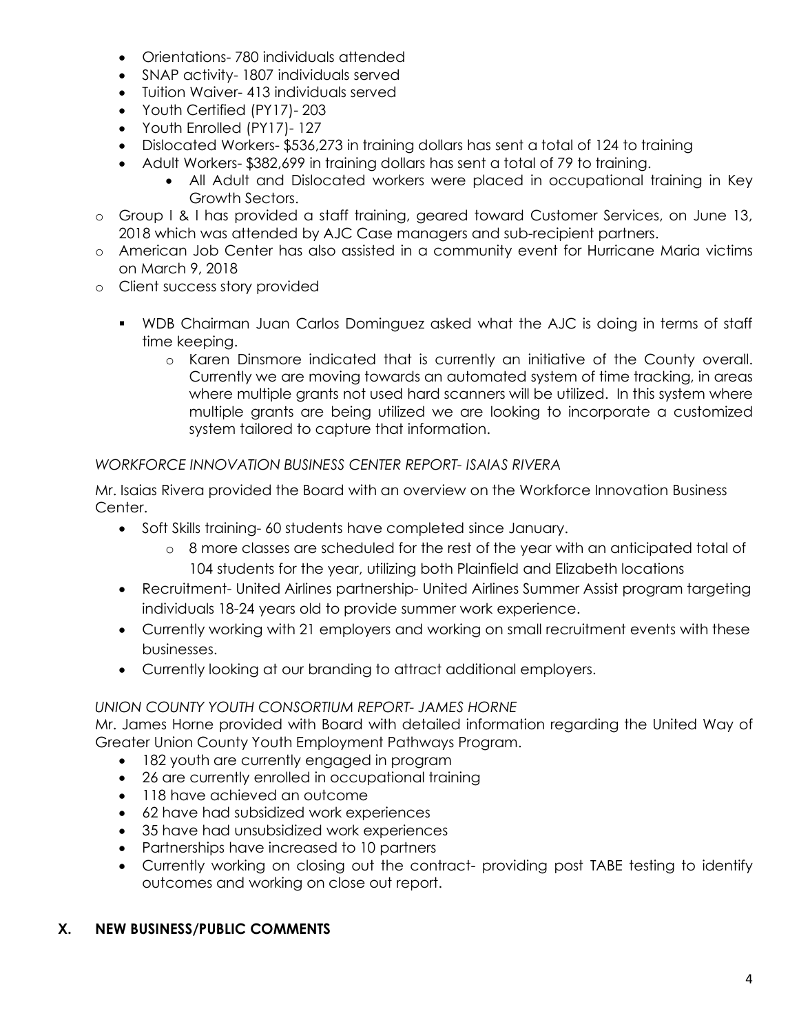- Orientations- 780 individuals attended
- SNAP activity- 1807 individuals served
- Tuition Waiver- 413 individuals served
- Youth Certified (PY17)- 203
- Youth Enrolled (PY17)- 127
- Dislocated Workers- \$536,273 in training dollars has sent a total of 124 to training
- Adult Workers- \$382,699 in training dollars has sent a total of 79 to training.
	- All Adult and Dislocated workers were placed in occupational training in Key Growth Sectors.
- o Group I & I has provided a staff training, geared toward Customer Services, on June 13, 2018 which was attended by AJC Case managers and sub-recipient partners.
- o American Job Center has also assisted in a community event for Hurricane Maria victims on March 9, 2018
- o Client success story provided
	- § WDB Chairman Juan Carlos Dominguez asked what the AJC is doing in terms of staff time keeping.
		- o Karen Dinsmore indicated that is currently an initiative of the County overall. Currently we are moving towards an automated system of time tracking, in areas where multiple grants not used hard scanners will be utilized. In this system where multiple grants are being utilized we are looking to incorporate a customized system tailored to capture that information.

## *WORKFORCE INNOVATION BUSINESS CENTER REPORT- ISAIAS RIVERA*

Mr. Isaias Rivera provided the Board with an overview on the Workforce Innovation Business Center.

- Soft Skills training- 60 students have completed since January.
	- o 8 more classes are scheduled for the rest of the year with an anticipated total of 104 students for the year, utilizing both Plainfield and Elizabeth locations
- Recruitment- United Airlines partnership- United Airlines Summer Assist program targeting individuals 18-24 years old to provide summer work experience.
- Currently working with 21 employers and working on small recruitment events with these businesses.
- Currently looking at our branding to attract additional employers.

## *UNION COUNTY YOUTH CONSORTIUM REPORT- JAMES HORNE*

Mr. James Horne provided with Board with detailed information regarding the United Way of Greater Union County Youth Employment Pathways Program.

- 182 youth are currently engaged in program
- 26 are currently enrolled in occupational training
- 118 have achieved an outcome
- 62 have had subsidized work experiences
- 35 have had unsubsidized work experiences
- Partnerships have increased to 10 partners
- Currently working on closing out the contract- providing post TABE testing to identify outcomes and working on close out report.

## **X. NEW BUSINESS/PUBLIC COMMENTS**